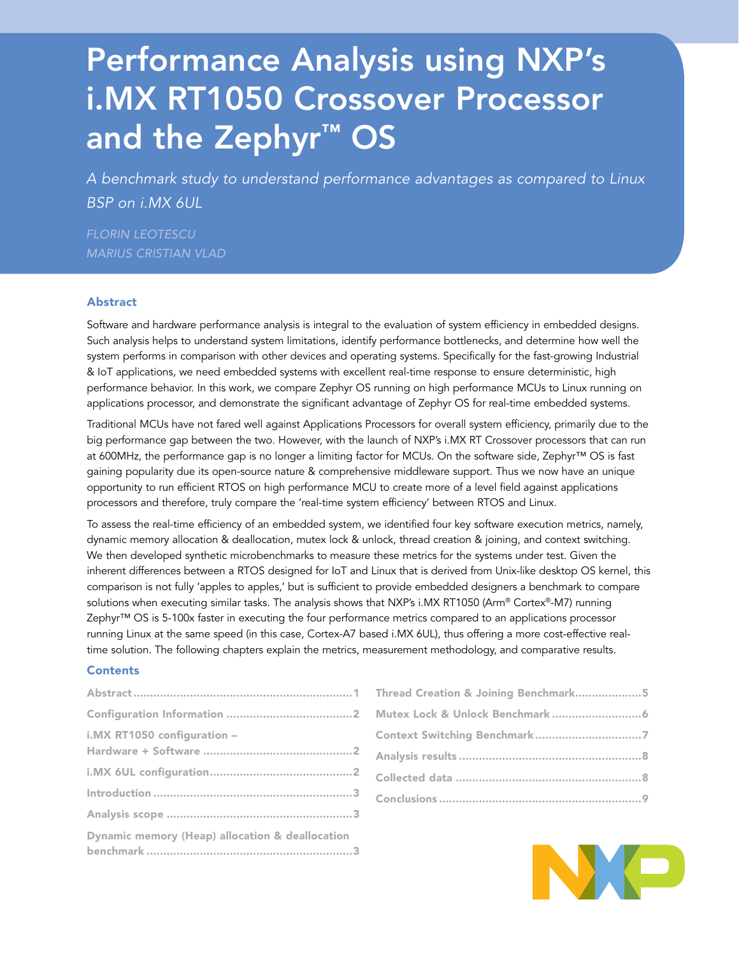# Performance Analysis using NXP's i.MX RT1050 Crossover Processor and the Zephyr™ OS

*A benchmark study to understand performance advantages as compared to Linux BSP on i.MX 6UL*

*FLORIN LEOTESCU MARIUS CRISTIAN VLAD*

## Abstract

Software and hardware performance analysis is integral to the evaluation of system efficiency in embedded designs. Such analysis helps to understand system limitations, identify performance bottlenecks, and determine how well the system performs in comparison with other devices and operating systems. Specifically for the fast-growing Industrial & IoT applications, we need embedded systems with excellent real-time response to ensure deterministic, high performance behavior. In this work, we compare Zephyr OS running on high performance MCUs to Linux running on applications processor, and demonstrate the significant advantage of Zephyr OS for real-time embedded systems.

Traditional MCUs have not fared well against Applications Processors for overall system efficiency, primarily due to the big performance gap between the two. However, with the launch of NXP's i.MX RT Crossover processors that can run at 600MHz, the performance gap is no longer a limiting factor for MCUs. On the software side, Zephyr™ OS is fast gaining popularity due its open-source nature & comprehensive middleware support. Thus we now have an unique opportunity to run efficient RTOS on high performance MCU to create more of a level field against applications processors and therefore, truly compare the 'real-time system efficiency' between RTOS and Linux.

To assess the real-time efficiency of an embedded system, we identified four key software execution metrics, namely, dynamic memory allocation & deallocation, mutex lock & unlock, thread creation & joining, and context switching. We then developed synthetic microbenchmarks to measure these metrics for the systems under test. Given the inherent differences between a RTOS designed for IoT and Linux that is derived from Unix-like desktop OS kernel, this comparison is not fully 'apples to apples,' but is sufficient to provide embedded designers a benchmark to compare solutions when executing similar tasks. The analysis shows that NXP's i.MX RT1050 (Arm® Cortex®-M7) running Zephyr™ OS is 5-100x faster in executing the four performance metrics compared to an applications processor running Linux at the same speed (in this case, Cortex-A7 based i.MX 6UL), thus offering a more cost-effective realtime solution. The following chapters explain the metrics, measurement methodology, and comparative results.

## **Contents**

| Thread Creation & Joining Benchmark5 |
|--------------------------------------|
|                                      |
|                                      |
|                                      |
|                                      |
|                                      |

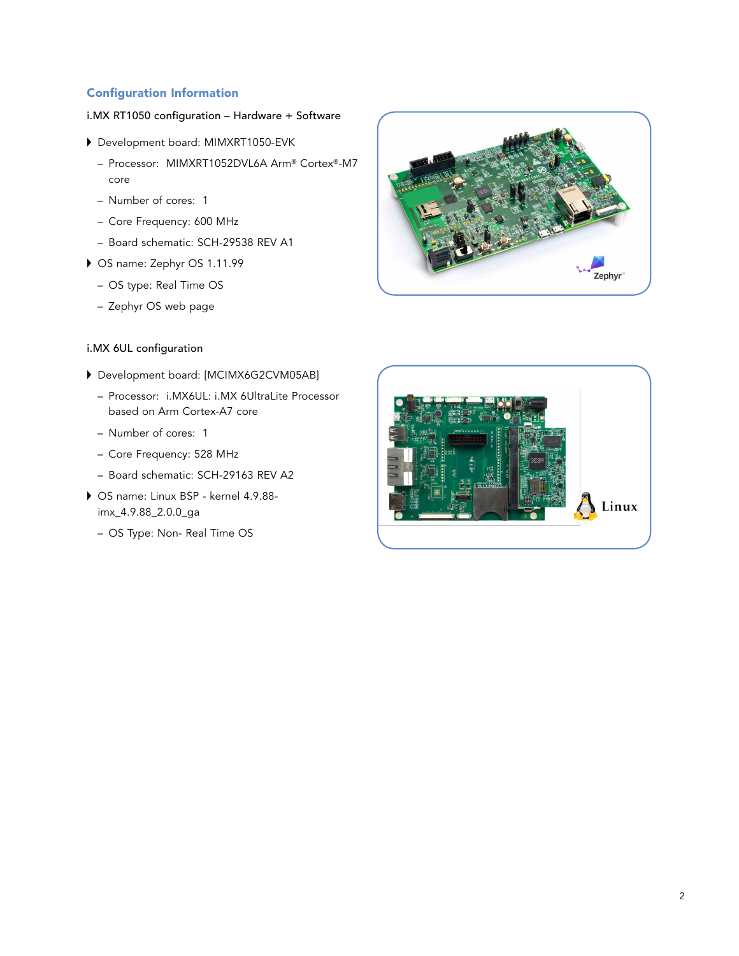# Configuration Information

# i.MX RT1050 configuration – Hardware + Software

- Development board: MIMXRT1050-EVK
	- Processor: MIMXRT1052DVL6A Arm® Cortex®-M7 core
	- Number of cores: 1
	- Core Frequency: 600 MHz
	- Board schematic: SCH-29538 REV A1
- OS name: Zephyr OS 1.11.99
	- OS type: Real Time OS
	- Zephyr OS web page

# i.MX 6UL configuration

- Development board: [MCIMX6G2CVM05AB]
	- Processor: i.MX6UL: i.MX 6UltraLite Processor based on Arm Cortex-A7 core
	- Number of cores: 1
	- Core Frequency: 528 MHz
	- Board schematic: SCH-29163 REV A2
- OS name: Linux BSP kernel 4.9.88 imx\_4.9.88\_2.0.0\_ga
	- OS Type: Non- Real Time OS



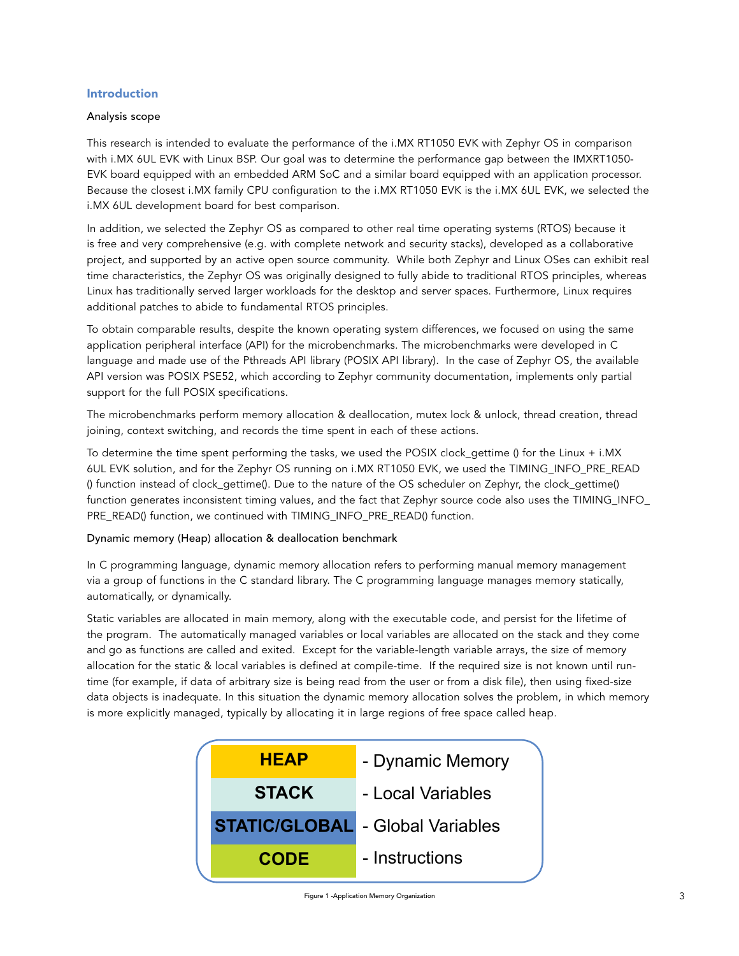# Introduction

## Analysis scope

This research is intended to evaluate the performance of the i.MX RT1050 EVK with Zephyr OS in comparison with i.MX 6UL EVK with Linux BSP. Our goal was to determine the performance gap between the IMXRT1050- EVK board equipped with an embedded ARM SoC and a similar board equipped with an application processor. Because the closest i.MX family CPU configuration to the i.MX RT1050 EVK is the i.MX 6UL EVK, we selected the i.MX 6UL development board for best comparison.

In addition, we selected the Zephyr OS as compared to other real time operating systems (RTOS) because it is free and very comprehensive (e.g. with complete network and security stacks), developed as a collaborative project, and supported by an active open source community. While both Zephyr and Linux OSes can exhibit real time characteristics, the Zephyr OS was originally designed to fully abide to traditional RTOS principles, whereas Linux has traditionally served larger workloads for the desktop and server spaces. Furthermore, Linux requires additional patches to abide to fundamental RTOS principles.

To obtain comparable results, despite the known operating system differences, we focused on using the same application peripheral interface (API) for the microbenchmarks. The microbenchmarks were developed in C language and made use of the Pthreads API library (POSIX API library). In the case of Zephyr OS, the available API version was POSIX PSE52, which according to Zephyr community documentation, implements only partial support for the full POSIX specifications.

The microbenchmarks perform memory allocation & deallocation, mutex lock & unlock, thread creation, thread joining, context switching, and records the time spent in each of these actions.

To determine the time spent performing the tasks, we used the POSIX clock\_gettime () for the Linux + i.MX 6UL EVK solution, and for the Zephyr OS running on i.MX RT1050 EVK, we used the TIMING\_INFO\_PRE\_READ () function instead of clock\_gettime(). Due to the nature of the OS scheduler on Zephyr, the clock\_gettime() function generates inconsistent timing values, and the fact that Zephyr source code also uses the TIMING\_INFO\_ PRE\_READ() function, we continued with TIMING\_INFO\_PRE\_READ() function.

#### Dynamic memory (Heap) allocation & deallocation benchmark

In C programming language, dynamic memory allocation refers to performing manual memory management via a group of functions in the C standard library. The C programming language manages memory statically, automatically, or dynamically.

Static variables are allocated in main memory, along with the executable code, and persist for the lifetime of the program. The automatically managed variables or local variables are allocated on the stack and they come and go as functions are called and exited. Except for the variable-length variable arrays, the size of memory allocation for the static & local variables is defined at compile-time. If the required size is not known until runtime (for example, if data of arbitrary size is being read from the user or from a disk file), then using fixed-size data objects is inadequate. In this situation the dynamic memory allocation solves the problem, in which memory is more explicitly managed, typically by allocating it in large regions of free space called heap.

| <b>HEAP</b>  | - Dynamic Memory                        |
|--------------|-----------------------------------------|
| <b>STACK</b> | - Local Variables                       |
|              | <b>STATIC/GLOBAL</b> - Global Variables |
| <b>CODE</b>  | - Instructions                          |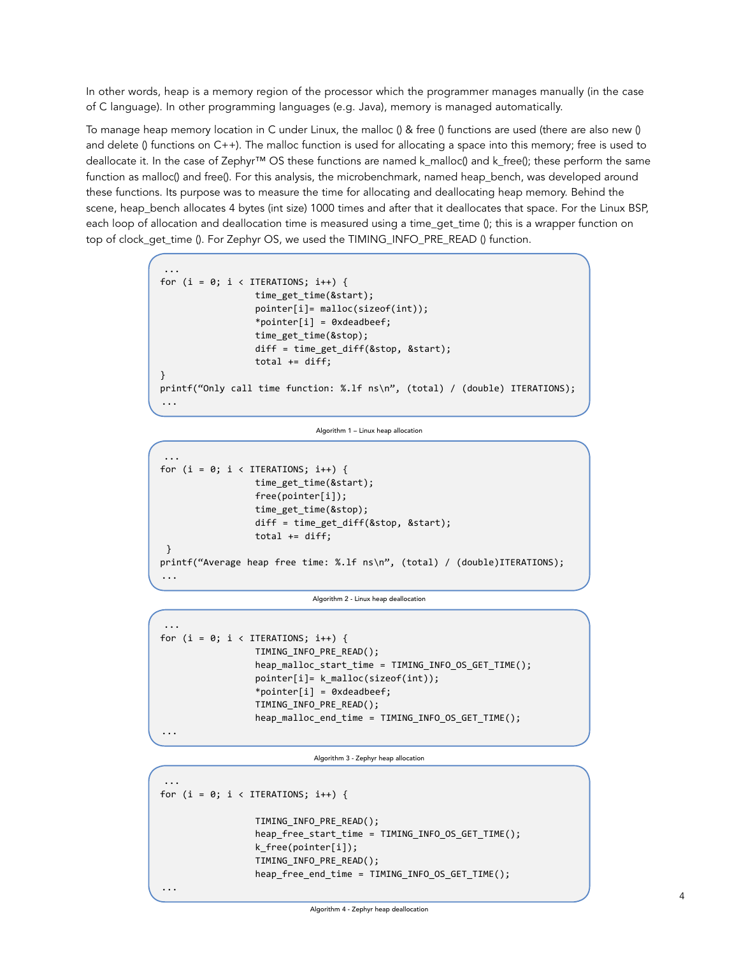In other words, heap is a memory region of the processor which the programmer manages manually (in the case of C language). In other programming languages (e.g. Java), memory is managed automatically.

To manage heap memory location in C under Linux, the malloc () & free () functions are used (there are also new () and delete () functions on C++). The malloc function is used for allocating a space into this memory; free is used to deallocate it. In the case of Zephyr™ OS these functions are named k\_malloc() and k\_free(); these perform the same function as malloc() and free(). For this analysis, the microbenchmark, named heap\_bench, was developed around these functions. Its purpose was to measure the time for allocating and deallocating heap memory. Behind the scene, heap\_bench allocates 4 bytes (int size) 1000 times and after that it deallocates that space. For the Linux BSP, each loop of allocation and deallocation time is measured using a time\_get\_time (); this is a wrapper function on top of clock\_get\_time (). For Zephyr OS, we used the TIMING\_INFO\_PRE\_READ () function.

```
...
for (i = 0; i < ITERATIONS; i++) {
                  time_get_time(&start);
                  pointer[i]= malloc(sizeof(int));
                  *pointer[i] = 0xdeadbeef;
                  time_get_time(&stop);
                  diff = time_get_diff(&stop, &start);
                  total += diff;
}
printf("Only call time function: %.lf ns\n", (total) / (double) ITERATIONS);
...
```
Algorithm 1 – Linux heap allocation

```
...
for (i = 0; i < ITERATIONS; i++) {
                  time_get_time(&start);
                  free(pointer[i]);
                  time_get_time(&stop);
                  diff = time_get_diff(&stop, &start);
                 total += diff; }
printf("Average heap free time: %.lf ns\n", (total) / (double)ITERATIONS);
...
```
Algorithm 2 - Linux heap deallocation

```
...
for (i = 0; i < ITERATIONS; i++) {
                  TIMING_INFO_PRE_READ();
                   heap_malloc_start_time = TIMING_INFO_OS_GET_TIME();
                   pointer[i]= k_malloc(sizeof(int));
                   *pointer[i] = 0xdeadbeef;
                   TIMING_INFO_PRE_READ();
                   heap_malloc_end_time = TIMING_INFO_OS_GET_TIME();
...
```
Algorithm 3 - Zephyr heap allocation

```
...
for (i = 0; i < ITERATIONS; i++) {
                   TIMING_INFO_PRE_READ();
                   heap_free_start_time = TIMING_INFO_OS_GET_TIME();
                   k_free(pointer[i]);
                   TIMING_INFO_PRE_READ();
                   heap_free_end_time = TIMING_INFO_OS_GET_TIME();
...
```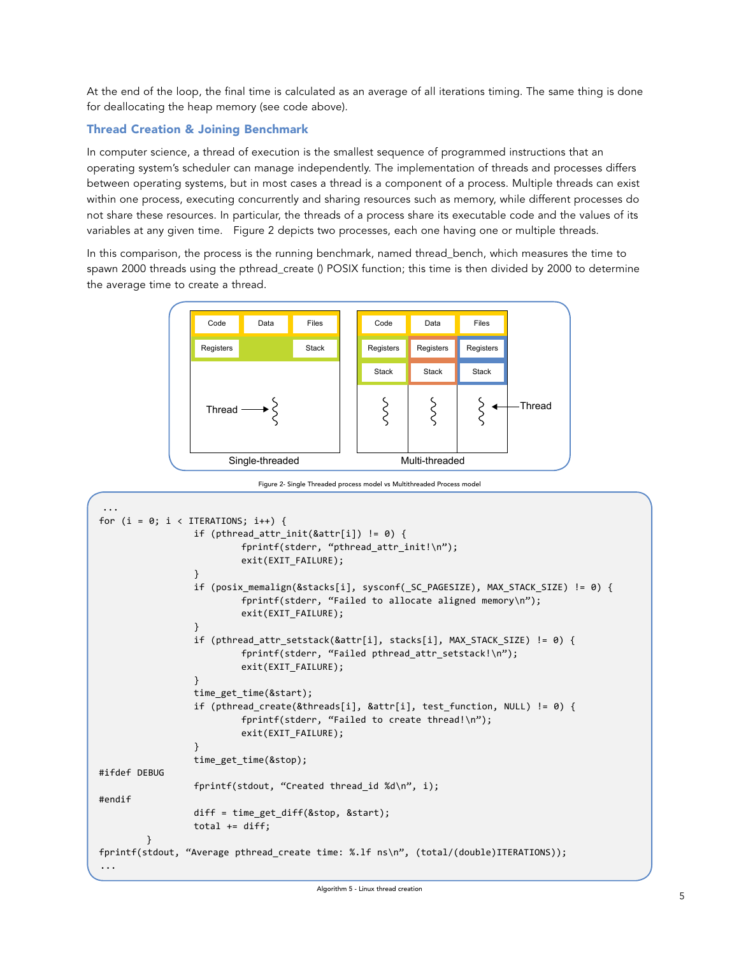At the end of the loop, the final time is calculated as an average of all iterations timing. The same thing is done for deallocating the heap memory (see code above).

# Thread Creation & Joining Benchmark

In computer science, a thread of execution is the smallest sequence of programmed instructions that an operating system's scheduler can manage independently. The implementation of threads and processes differs between operating systems, but in most cases a thread is a component of a process. Multiple threads can exist within one process, executing concurrently and sharing resources such as memory, while different processes do not share these resources. In particular, the threads of a process share its executable code and the values of its variables at any given time. Figure 2 depicts two processes, each one having one or multiple threads.

In this comparison, the process is the running benchmark, named thread\_bench, which measures the time to spawn 2000 threads using the pthread\_create () POSIX function; this time is then divided by 2000 to determine the average time to create a thread.



Figure 2- Single Threaded process model vs Multithreaded Process model

```
...
for (i = 0; i < ITERATIONS; i++) {
                 if (pthread_attr_init(&attr[i]) != 0) {
                         fprintf(stderr, "pthread_attr_init!\n");
                         exit(EXIT_FAILURE);
 }
                 if (posix_memalign(&stacks[i], sysconf(_SC_PAGESIZE), MAX_STACK_SIZE) != 0) {
                         fprintf(stderr, "Failed to allocate aligned memory\n");
                         exit(EXIT_FAILURE);
 }
                if (pthread attr setstack(&attr[i], stacks[i], MAX STACK SIZE) != 0) {
                        fprintf(stderr, "Failed pthread attr setstack!\n");
                         exit(EXIT_FAILURE);
 }
                 time_get_time(&start);
                 if (pthread_create(&threads[i], &attr[i], test_function, NULL) != 0) {
                        fprintf(stderr, "Failed to create thread!\n");
                        exit(EXIT_FAILURE);
 }
                 time_get_time(&stop);
#ifdef DEBUG
                 fprintf(stdout, "Created thread_id %d\n", i);
#endif
                diff = time get diff(&stop, &start);total += diff:
 }
fprintf(stdout, "Average pthread_create time: %.lf ns\n", (total/(double)ITERATIONS));
...
```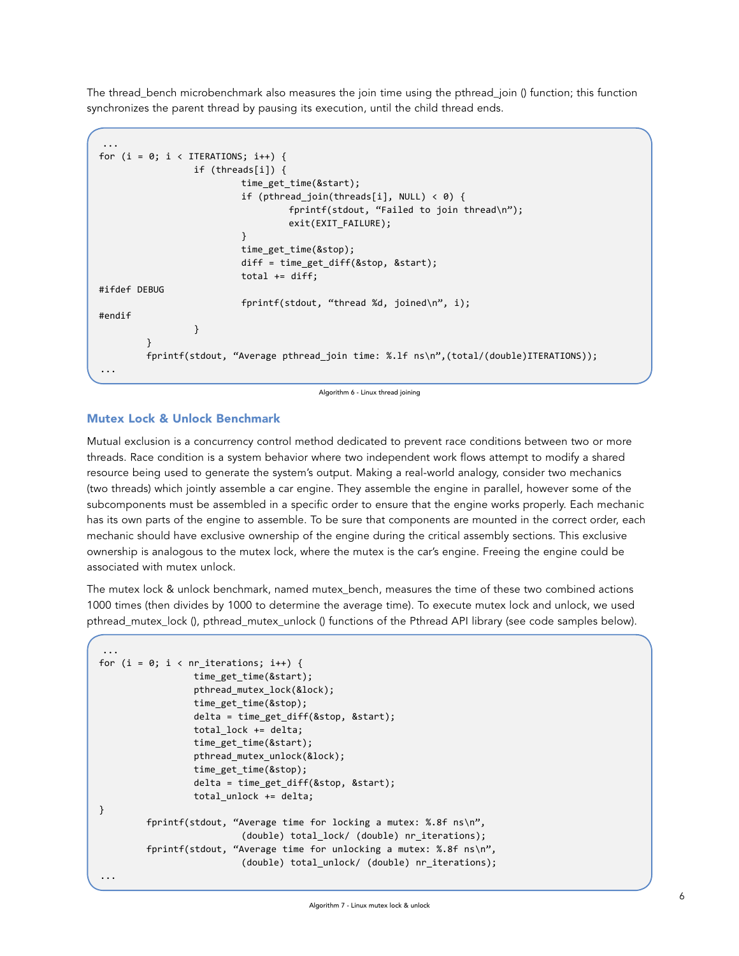The thread\_bench microbenchmark also measures the join time using the pthread\_join () function; this function synchronizes the parent thread by pausing its execution, until the child thread ends.

```
...
for (i = 0; i < IIERATIONS; i++) {
                 if (threads[i]) {
                         time_get_time(&start);
                         if (pthread_join(threads[i], NULL) < 0) {
                                  fprintf(stdout, "Failed to join thread\n");
                                 exit(EXIT_FAILURE);
 }
                         time_get_time(&stop);
                         diff = time_get_diff(&stop, &start);
                        total += diff;#ifdef DEBUG
                         fprintf(stdout, "thread %d, joined\n", i);
#endif
 }
         }
         fprintf(stdout, "Average pthread_join time: %.lf ns\n",(total/(double)ITERATIONS));
...
```
Algorithm 6 - Linux thread joining

# Mutex Lock & Unlock Benchmark

Mutual exclusion is a concurrency control method dedicated to prevent race conditions between two or more threads. Race condition is a system behavior where two independent work flows attempt to modify a shared resource being used to generate the system's output. Making a real-world analogy, consider two mechanics (two threads) which jointly assemble a car engine. They assemble the engine in parallel, however some of the subcomponents must be assembled in a specific order to ensure that the engine works properly. Each mechanic has its own parts of the engine to assemble. To be sure that components are mounted in the correct order, each mechanic should have exclusive ownership of the engine during the critical assembly sections. This exclusive ownership is analogous to the mutex lock, where the mutex is the car's engine. Freeing the engine could be associated with mutex unlock.

The mutex lock & unlock benchmark, named mutex bench, measures the time of these two combined actions 1000 times (then divides by 1000 to determine the average time). To execute mutex lock and unlock, we used pthread\_mutex\_lock (), pthread\_mutex\_unlock () functions of the Pthread API library (see code samples below).

```
...
for (i = 0; i < nr iterations; i++) {
                   time_get_time(&start);
                   pthread_mutex_lock(&lock);
                   time_get_time(&stop);
                   delta = time_get_diff(&stop, &start);
                   total_lock += delta;
                   time_get_time(&start);
                   pthread_mutex_unlock(&lock);
                   time_get_time(&stop);
                   delta = time_get_diff(&stop, &start);
                   total_unlock += delta;
}
          fprintf(stdout, "Average time for locking a mutex: %.8f ns\n",
                            (double) total_lock/ (double) nr_iterations);
          fprintf(stdout, "Average time for unlocking a mutex: %.8f ns\n",
                            (double) total_unlock/ (double) nr_iterations);
...
```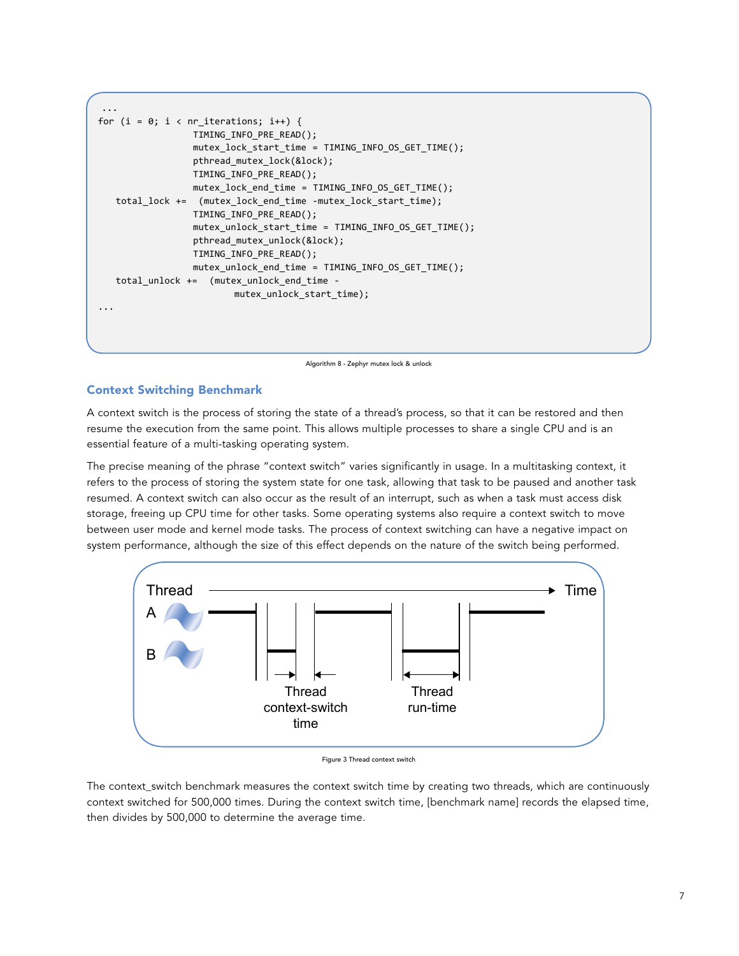```
...
for (i = 0; i < nr iterations; i++) {
                  TIMING_INFO_PRE_READ();
                  mutex_lock_start_time = TIMING_INFO_OS_GET_TIME();
                  pthread_mutex_lock(&lock);
                  TIMING_INFO_PRE_READ();
                 mutex lock end time = TIMING INFO OS GET TIME();
    total_lock += (mutex_lock_end_time -mutex_lock_start_time);
                  TIMING_INFO_PRE_READ();
                  mutex_unlock_start_time = TIMING_INFO_OS_GET_TIME();
                  pthread_mutex_unlock(&lock);
                  TIMING_INFO_PRE_READ();
                 mutex unlock end time = TIMING INFO OS GET TIME();
    total_unlock += (mutex_unlock_end_time -
                         mutex unlock start time);
...
```
Algorithm 8 - Zephyr mutex lock & unlock

# Context Switching Benchmark

A context switch is the process of storing the state of a thread's process, so that it can be restored and then resume the execution from the same point. This allows multiple processes to share a single CPU and is an essential feature of a multi-tasking operating system.

The precise meaning of the phrase "context switch" varies significantly in usage. In a multitasking context, it refers to the process of storing the system state for one task, allowing that task to be paused and another task resumed. A context switch can also occur as the result of an interrupt, such as when a task must access disk storage, freeing up CPU time for other tasks. Some operating systems also require a context switch to move between user mode and kernel mode tasks. The process of context switching can have a negative impact on system performance, although the size of this effect depends on the nature of the switch being performed.



Figure 3 Thread context switch

The context\_switch benchmark measures the context switch time by creating two threads, which are continuously context switched for 500,000 times. During the context switch time, [benchmark name] records the elapsed time, then divides by 500,000 to determine the average time.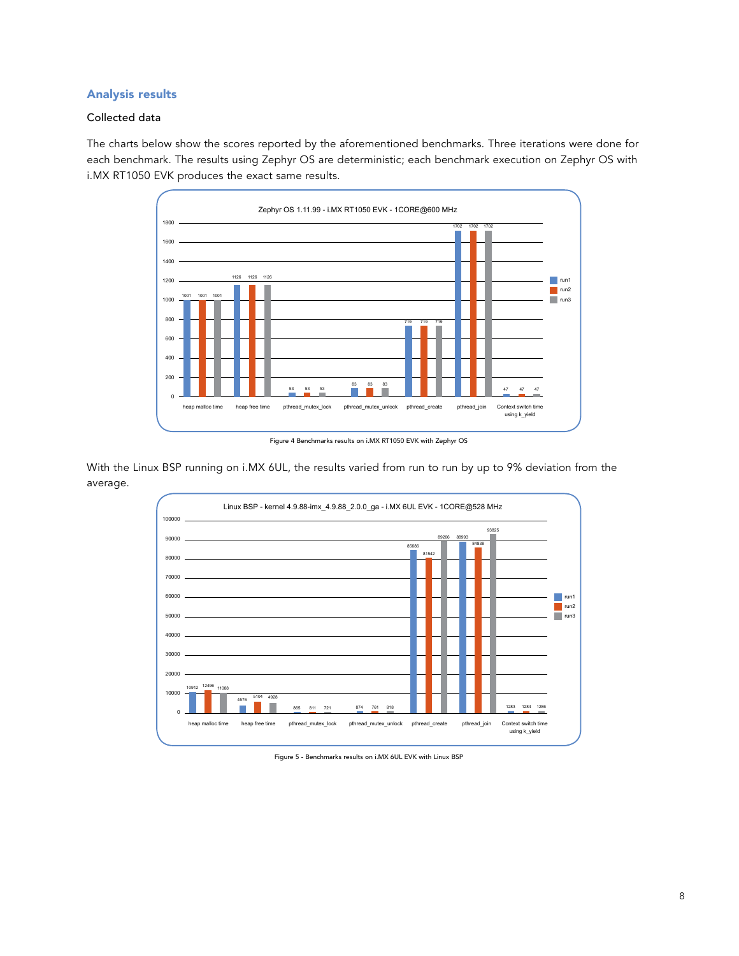# Analysis results

## Collected data

The charts below show the scores reported by the aforementioned benchmarks. Three iterations were done for each benchmark. The results using Zephyr OS are deterministic; each benchmark execution on Zephyr OS with i.MX RT1050 EVK produces the exact same results.



Figure 4 Benchmarks results on i.MX RT1050 EVK with Zephyr OS

With the Linux BSP running on i.MX 6UL, the results varied from run to run by up to 9% deviation from the average.



Figure 5 - Benchmarks results on i.MX 6UL EVK with Linux BSP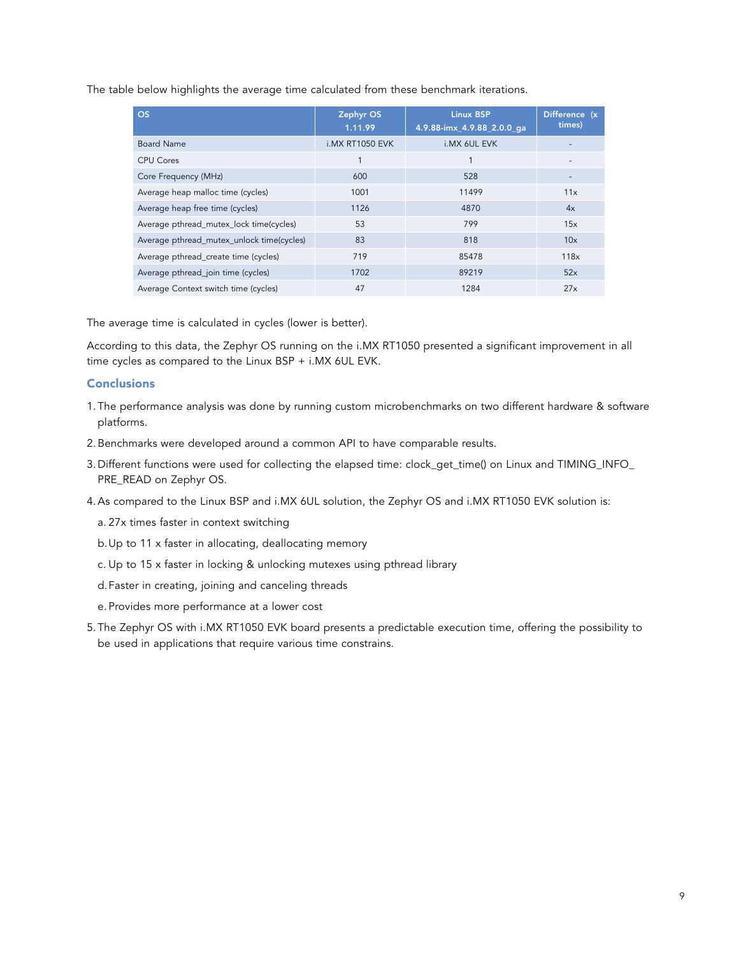The table below highlights the average time calculated from these benchmark iterations.

| <b>OS</b>                                 | Zephyr OS<br>1.11.99 | <b>Linux BSP</b><br>4.9.88-imx_4.9.88_2.0.0_ga | Difference (x<br>times) |
|-------------------------------------------|----------------------|------------------------------------------------|-------------------------|
| <b>Board Name</b>                         | i.MX RT1050 EVK      | i.MX 6UL EVK                                   |                         |
| CPU Cores                                 |                      |                                                |                         |
| Core Frequency (MHz)                      | 600                  | 528                                            |                         |
| Average heap malloc time (cycles)         | 1001                 | 11499                                          | 11x                     |
| Average heap free time (cycles)           | 1126                 | 4870                                           | 4x                      |
| Average pthread_mutex_lock time(cycles)   | 53                   | 799                                            | 15x                     |
| Average pthread_mutex_unlock time(cycles) | 83                   | 818                                            | 10x                     |
| Average pthread_create time (cycles)      | 719                  | 85478                                          | 118x                    |
| Average pthread_join time (cycles)        | 1702                 | 89219                                          | 52x                     |
| Average Context switch time (cycles)      | 47                   | 1284                                           | 27x                     |

The average time is calculated in cycles (lower is better).

According to this data, the Zephyr OS running on the i.MX RT1050 presented a significant improvement in all time cycles as compared to the Linux BSP + i.MX 6UL EVK.

### **Conclusions**

- 1. The performance analysis was done by running custom microbenchmarks on two different hardware & software platforms.
- 2.Benchmarks were developed around a common API to have comparable results.
- 3. Different functions were used for collecting the elapsed time: clock\_get\_time() on Linux and TIMING\_INFO\_ PRE\_READ on Zephyr OS.
- 4.As compared to the Linux BSP and i.MX 6UL solution, the Zephyr OS and i.MX RT1050 EVK solution is:
	- a. 27x times faster in context switching
	- b.Up to 11 x faster in allocating, deallocating memory
	- c. Up to 15 x faster in locking & unlocking mutexes using pthread library
	- d.Faster in creating, joining and canceling threads
	- e. Provides more performance at a lower cost
- 5. The Zephyr OS with i.MX RT1050 EVK board presents a predictable execution time, offering the possibility to be used in applications that require various time constrains.